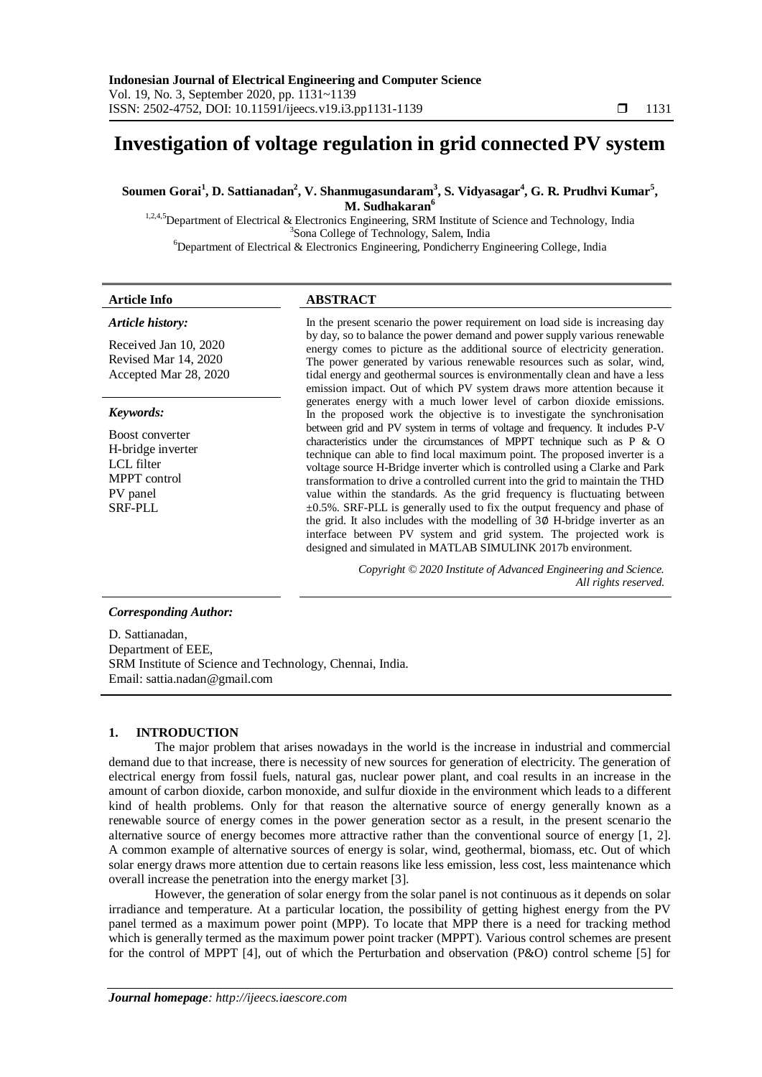# **Investigation of voltage regulation in grid connected PV system**

Soumen Gorai<sup>1</sup>, D. Sattianadan<sup>2</sup>, V. Shanmugasundaram<sup>3</sup>, S. Vidyasagar<sup>4</sup>, G. R. Prudhvi Kumar<sup>5</sup>, **M. Sudhakaran<sup>6</sup>**

<sup>1,2,4,5</sup>Department of Electrical & Electronics Engineering, SRM Institute of Science and Technology, India 3 Sona College of Technology, Salem, India <sup>6</sup>Department of Electrical & Electronics Engineering, Pondicherry Engineering College, India

### **Article Info ABSTRACT**

#### *Article history:*

Received Jan 10, 2020 Revised Mar 14, 2020 Accepted Mar 28, 2020

#### *Keywords:*

Boost converter H-bridge inverter LCL filter MPPT control PV panel SRF-PLL

In the present scenario the power requirement on load side is increasing day by day, so to balance the power demand and power supply various renewable energy comes to picture as the additional source of electricity generation. The power generated by various renewable resources such as solar, wind, tidal energy and geothermal sources is environmentally clean and have a less emission impact. Out of which PV system draws more attention because it generates energy with a much lower level of carbon dioxide emissions. In the proposed work the objective is to investigate the synchronisation between grid and PV system in terms of voltage and frequency. It includes P-V characteristics under the circumstances of MPPT technique such as P & O technique can able to find local maximum point. The proposed inverter is a voltage source H-Bridge inverter which is controlled using a Clarke and Park transformation to drive a controlled current into the grid to maintain the THD value within the standards. As the grid frequency is fluctuating between  $\pm 0.5$ %. SRF-PLL is generally used to fix the output frequency and phase of the grid. It also includes with the modelling of 3∅ H-bridge inverter as an interface between PV system and grid system. The projected work is designed and simulated in MATLAB SIMULINK 2017b environment.

> *Copyright © 2020 Institute of Advanced Engineering and Science. All rights reserved.*

# *Corresponding Author:*

D. Sattianadan, Department of EEE, SRM Institute of Science and Technology, Chennai, India. Email: sattia.nadan@gmail.com

# **1. INTRODUCTION**

The major problem that arises nowadays in the world is the increase in industrial and commercial demand due to that increase, there is necessity of new sources for generation of electricity. The generation of electrical energy from fossil fuels, natural gas, nuclear power plant, and coal results in an increase in the amount of carbon dioxide, carbon monoxide, and sulfur dioxide in the environment which leads to a different kind of health problems. Only for that reason the alternative source of energy generally known as a renewable source of energy comes in the power generation sector as a result, in the present scenario the alternative source of energy becomes more attractive rather than the conventional source of energy [1, 2]. A common example of alternative sources of energy is solar, wind, geothermal, biomass, etc. Out of which solar energy draws more attention due to certain reasons like less emission, less cost, less maintenance which overall increase the penetration into the energy market [3].

However, the generation of solar energy from the solar panel is not continuous as it depends on solar irradiance and temperature. At a particular location, the possibility of getting highest energy from the PV panel termed as a maximum power point (MPP). To locate that MPP there is a need for tracking method which is generally termed as the maximum power point tracker (MPPT). Various control schemes are present for the control of MPPT [4], out of which the Perturbation and observation (P&O) control scheme [5] for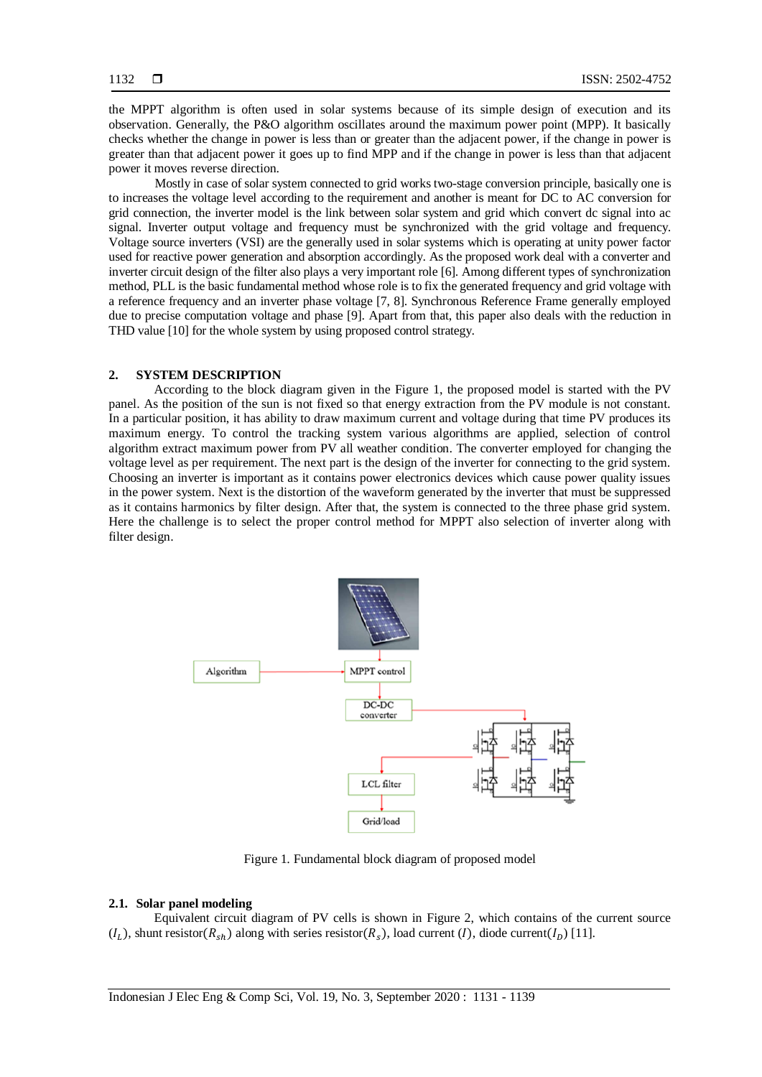the MPPT algorithm is often used in solar systems because of its simple design of execution and its observation. Generally, the P&O algorithm oscillates around the maximum power point (MPP). It basically checks whether the change in power is less than or greater than the adjacent power, if the change in power is greater than that adjacent power it goes up to find MPP and if the change in power is less than that adjacent power it moves reverse direction.

Mostly in case of solar system connected to grid works two-stage conversion principle, basically one is to increases the voltage level according to the requirement and another is meant for DC to AC conversion for grid connection, the inverter model is the link between solar system and grid which convert dc signal into ac signal. Inverter output voltage and frequency must be synchronized with the grid voltage and frequency. Voltage source inverters (VSI) are the generally used in solar systems which is operating at unity power factor used for reactive power generation and absorption accordingly. As the proposed work deal with a converter and inverter circuit design of the filter also plays a very important role [6]. Among different types of synchronization method, PLL is the basic fundamental method whose role is to fix the generated frequency and grid voltage with a reference frequency and an inverter phase voltage [7, 8]. Synchronous Reference Frame generally employed due to precise computation voltage and phase [9]. Apart from that, this paper also deals with the reduction in THD value [10] for the whole system by using proposed control strategy.

### **2. SYSTEM DESCRIPTION**

According to the block diagram given in the Figure 1, the proposed model is started with the PV panel. As the position of the sun is not fixed so that energy extraction from the PV module is not constant. In a particular position, it has ability to draw maximum current and voltage during that time PV produces its maximum energy. To control the tracking system various algorithms are applied, selection of control algorithm extract maximum power from PV all weather condition. The converter employed for changing the voltage level as per requirement. The next part is the design of the inverter for connecting to the grid system. Choosing an inverter is important as it contains power electronics devices which cause power quality issues in the power system. Next is the distortion of the waveform generated by the inverter that must be suppressed as it contains harmonics by filter design. After that, the system is connected to the three phase grid system. Here the challenge is to select the proper control method for MPPT also selection of inverter along with filter design.



Figure 1. Fundamental block diagram of proposed model

### **2.1. Solar panel modeling**

Equivalent circuit diagram of PV cells is shown in Figure 2, which contains of the current source  $(I_L)$ , shunt resistor  $(R_{sh})$  along with series resistor  $(R_s)$ , load current  $(I)$ , diode current  $(I_D)$  [11].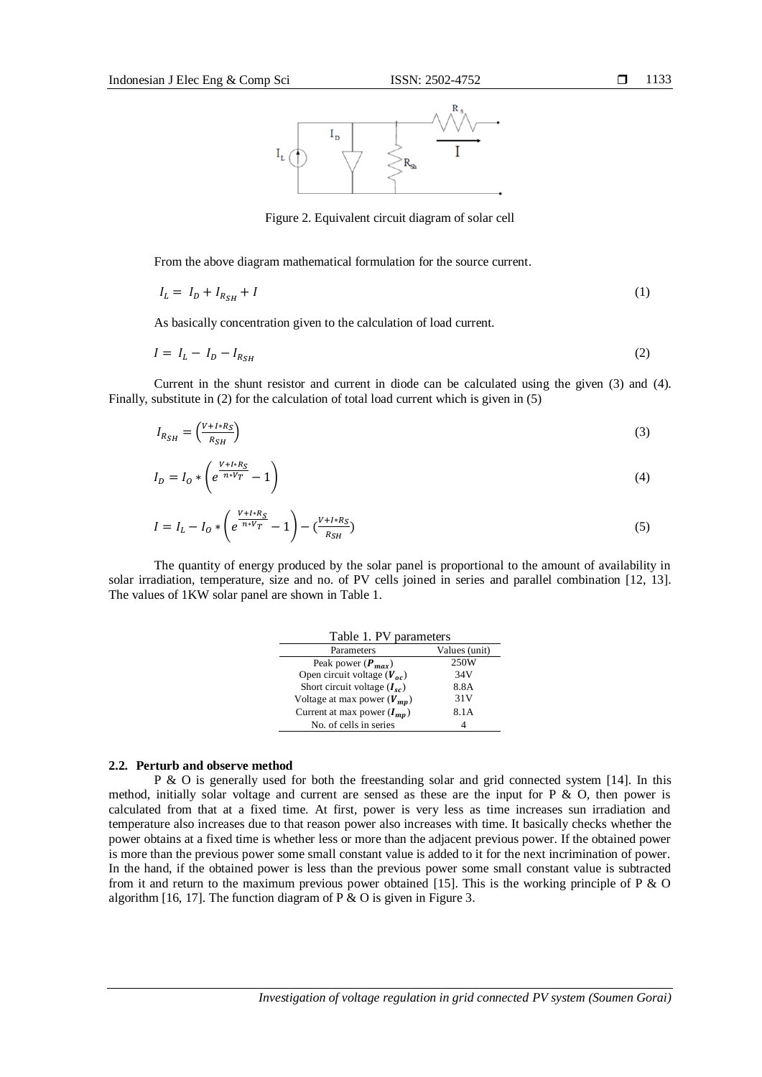

Figure 2. Equivalent circuit diagram of solar cell

From the above diagram mathematical formulation for the source current.

$$
I_L = I_D + I_{R_{SH}} + I \tag{1}
$$

As basically concentration given to the calculation of load current.

$$
I = I_L - I_D - I_{RSH} \tag{2}
$$

Current in the shunt resistor and current in diode can be calculated using the given (3) and (4). Finally, substitute in (2) for the calculation of total load current which is given in (5)

$$
I_{R_{SH}} = \left(\frac{V + I * R_S}{R_{SH}}\right) \tag{3}
$$

$$
I_D = I_O * \left( e^{\frac{V + I * R_S}{n * V_T}} - 1 \right) \tag{4}
$$

$$
I = I_L - I_0 * \left( e^{\frac{V + I * R_S}{n * V_T}} - 1 \right) - \left( \frac{V + I * R_S}{R_{SH}} \right) \tag{5}
$$

The quantity of energy produced by the solar panel is proportional to the amount of availability in solar irradiation, temperature, size and no. of PV cells joined in series and parallel combination [12, 13]. The values of 1KW solar panel are shown in Table 1.

| Table 1. PV parameters                |               |
|---------------------------------------|---------------|
| Parameters                            | Values (unit) |
| Peak power $(P_{max})$                | 250W          |
| Open circuit voltage $(V_{\alpha c})$ | 34V           |
| Short circuit voltage $(I_{sc})$      | 8.8A          |
| Voltage at max power $(V_{mn})$       | 31V           |
| Current at max power $(I_{mn})$       | 8.1A          |
| No. of cells in series                |               |

# **2.2. Perturb and observe method**

P & O is generally used for both the freestanding solar and grid connected system [14]. In this method, initially solar voltage and current are sensed as these are the input for P  $\&$  O, then power is calculated from that at a fixed time. At first, power is very less as time increases sun irradiation and temperature also increases due to that reason power also increases with time. It basically checks whether the power obtains at a fixed time is whether less or more than the adjacent previous power. If the obtained power is more than the previous power some small constant value is added to it for the next incrimination of power. In the hand, if the obtained power is less than the previous power some small constant value is subtracted from it and return to the maximum previous power obtained [15]. This is the working principle of P  $\&$  O algorithm [16, 17]. The function diagram of  $P & O$  is given in Figure 3.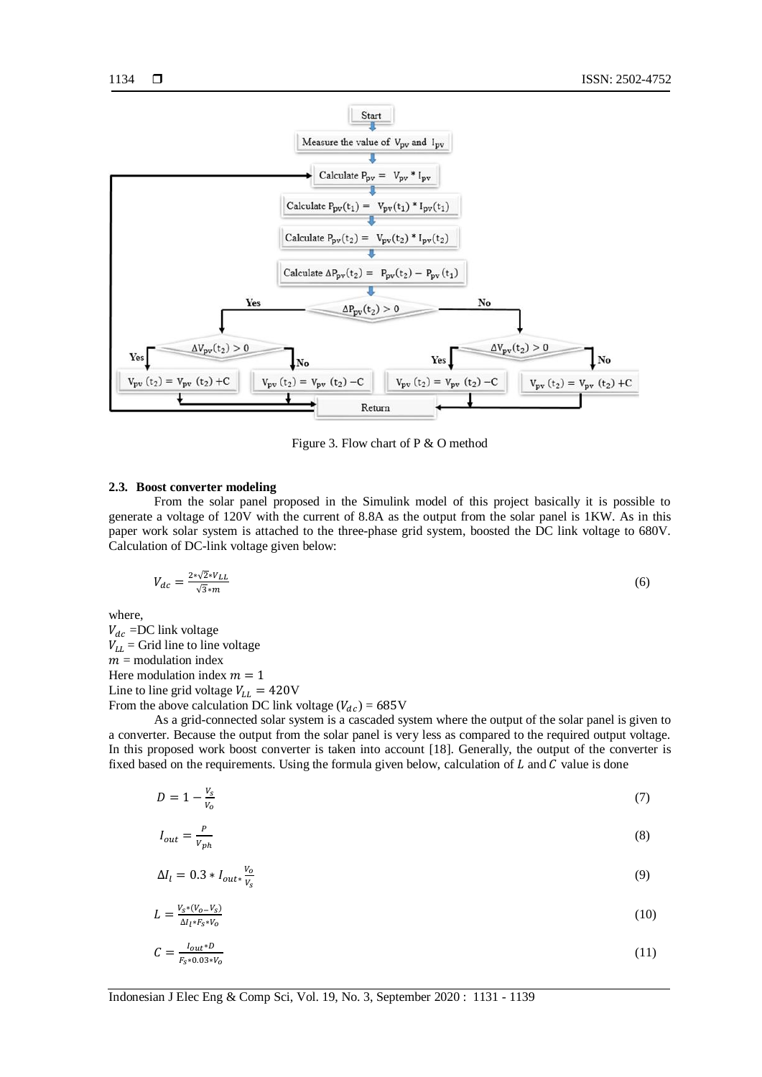

Figure 3. Flow chart of P & O method

#### **2.3. Boost converter modeling**

From the solar panel proposed in the Simulink model of this project basically it is possible to generate a voltage of 120V with the current of 8.8A as the output from the solar panel is 1KW. As in this paper work solar system is attached to the three-phase grid system, boosted the DC link voltage to 680V. Calculation of DC-link voltage given below:

$$
V_{dc} = \frac{2 \sqrt{2} \sqrt{2}}{\sqrt{3} \sqrt{2}} \tag{6}
$$

where,

 $V_{dc}$  =DC link voltage  $V_{LL}$  = Grid line to line voltage  $m =$  modulation index Here modulation index  $m = 1$ Line to line grid voltage  $V_{LL} = 420V$ From the above calculation DC link voltage  $(V_{dc}) = 685V$ 

As a grid-connected solar system is a cascaded system where the output of the solar panel is given to a converter. Because the output from the solar panel is very less as compared to the required output voltage. In this proposed work boost converter is taken into account [18]. Generally, the output of the converter is fixed based on the requirements. Using the formula given below, calculation of  $L$  and  $C$  value is done

$$
D = 1 - \frac{v_s}{v_o} \tag{7}
$$

$$
I_{out} = \frac{P}{V_{ph}}\tag{8}
$$

$$
\Delta I_l = 0.3 * I_{out*} \frac{V_o}{V_S} \tag{9}
$$

$$
L = \frac{V_s * (V_o - V_s)}{\Delta l_l * F_s * V_o} \tag{10}
$$

$$
C = \frac{I_{out} * D}{F_S * 0.03 * V_0} \tag{11}
$$

Indonesian J Elec Eng & Comp Sci, Vol. 19, No. 3, September 2020 : 1131 - 1139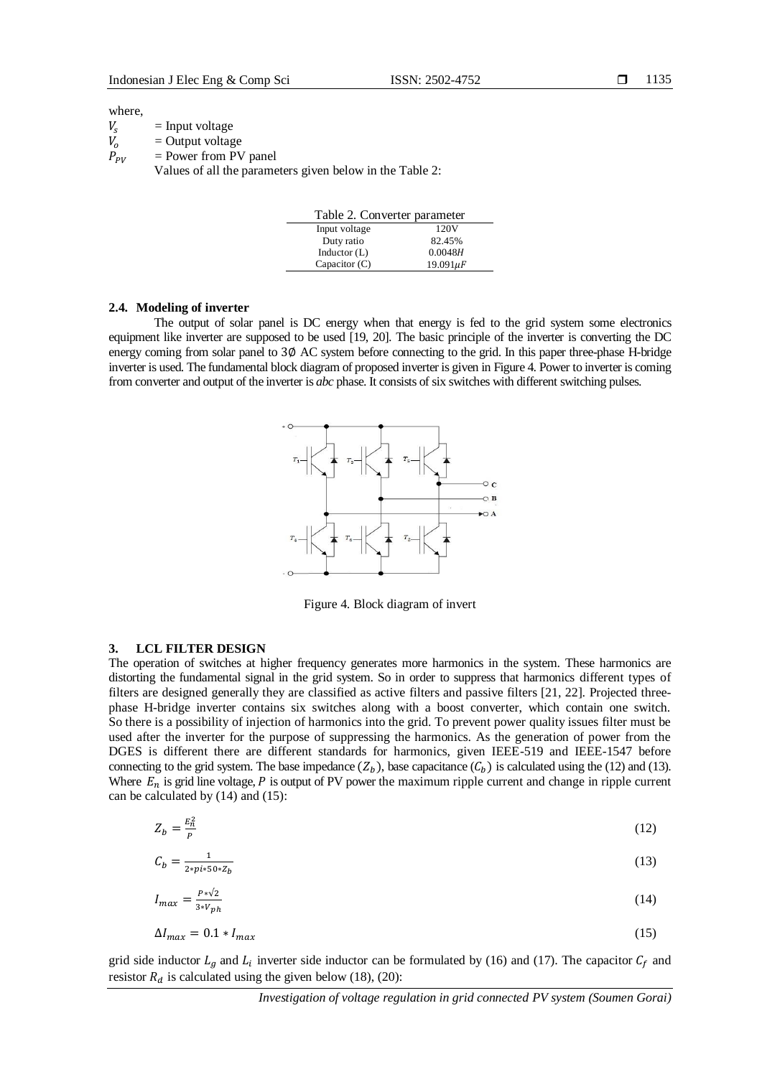#### where,

 $V_s$  = Input voltage<br>  $V_o$  = Output voltage  $=$  Output voltage  $P_{PV}$  = Power from PV panel Values of all the parameters given below in the Table 2:

| Table 2. Converter parameter |                |  |
|------------------------------|----------------|--|
| Input voltage                | 120V           |  |
| Duty ratio                   | 82.45%         |  |
| Inductor $(L)$               | 0.0048H        |  |
| Capacitor $(C)$              | $19.091 \mu F$ |  |

#### **2.4. Modeling of inverter**

The output of solar panel is DC energy when that energy is fed to the grid system some electronics equipment like inverter are supposed to be used [19, 20]. The basic principle of the inverter is converting the DC energy coming from solar panel to 3Ø AC system before connecting to the grid. In this paper three-phase H-bridge inverter is used. The fundamental block diagram of proposed inverter is given in Figure 4. Power to inverter is coming from converter and output of the inverter is *abc* phase. It consists of six switches with different switching pulses.



Figure 4. Block diagram of invert

### **3. LCL FILTER DESIGN**

The operation of switches at higher frequency generates more harmonics in the system. These harmonics are distorting the fundamental signal in the grid system. So in order to suppress that harmonics different types of filters are designed generally they are classified as active filters and passive filters [21, 22]. Projected threephase H-bridge inverter contains six switches along with a boost converter, which contain one switch. So there is a possibility of injection of harmonics into the grid. To prevent power quality issues filter must be used after the inverter for the purpose of suppressing the harmonics. As the generation of power from the DGES is different there are different standards for harmonics, given IEEE-519 and IEEE-1547 before connecting to the grid system. The base impedance  $(Z_h)$ , base capacitance  $(C_h)$  is calculated using the (12) and (13). Where  $E_n$  is grid line voltage, P is output of PV power the maximum ripple current and change in ripple current can be calculated by (14) and (15):

$$
Z_b = \frac{E_n^2}{P} \tag{12}
$$

$$
\mathcal{C}_b = \frac{1}{2 \cdot p i \cdot 50 \cdot \mathcal{Z}_b} \tag{13}
$$

$$
I_{max} = \frac{P \sqrt{2}}{3 \sqrt{2h}} \tag{14}
$$

$$
\Delta I_{max} = 0.1 * I_{max} \tag{15}
$$

grid side inductor  $L_q$  and  $L_i$  inverter side inductor can be formulated by (16) and (17). The capacitor  $C_f$  and resistor  $R_d$  is calculated using the given below (18), (20):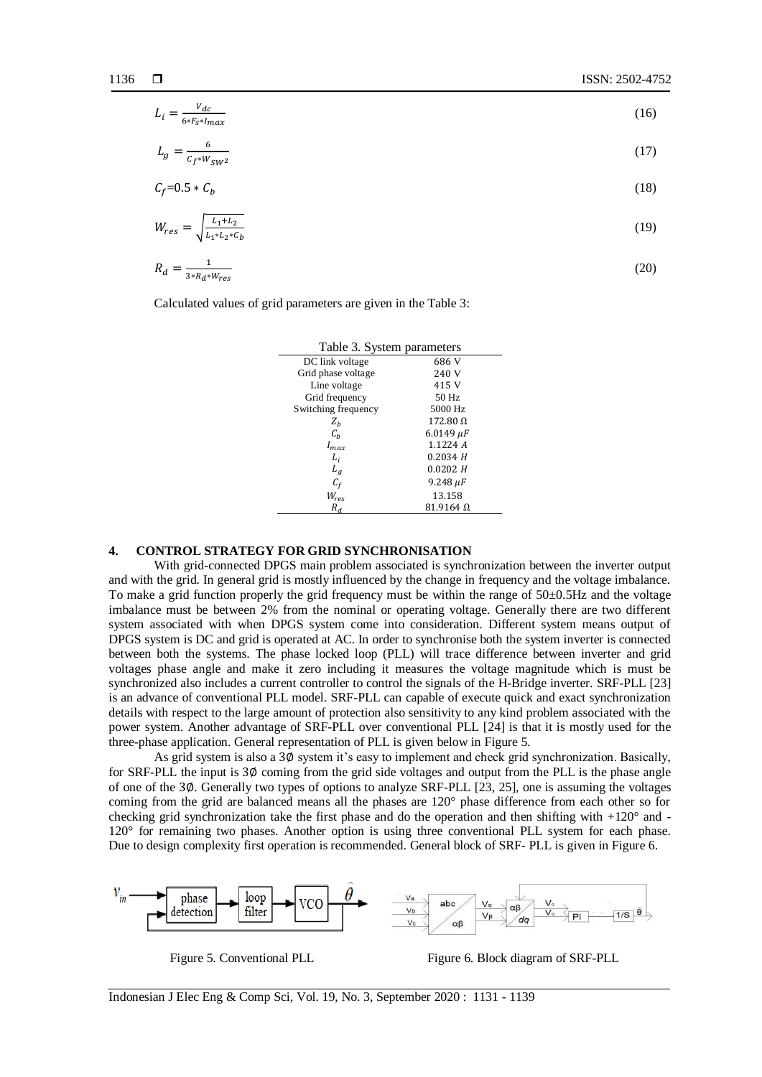$$
L_i = \frac{V_{dc}}{6*F_s * I_{max}}\tag{16}
$$

$$
L_g = \frac{6}{c_f \sqrt[4]{w_{\text{sw2}}}}\tag{17}
$$

$$
C_f = 0.5 \times C_b \tag{18}
$$

$$
W_{res} = \sqrt{\frac{L_1 + L_2}{L_1 + L_2 * C_b}}
$$
(19)

$$
R_d = \frac{1}{3 \cdot R_d \cdot W_{res}}\tag{20}
$$

Calculated values of grid parameters are given in the Table 3:

| Table 3. System parameters |                  |
|----------------------------|------------------|
| DC link voltage            | 686 V            |
| Grid phase voltage         | 240 V            |
| Line voltage               | 415 V            |
| Grid frequency             | 50 Hz            |
| Switching frequency        | 5000 Hz          |
| $Z_h$                      | $172.80 \Omega$  |
| $C_h$                      | $6.0149 \,\mu F$ |
| $I_{max}$                  | 1.1224A          |
| L <sub>i</sub>             | 0.2034H          |
| $L_q$                      | 0.0202 H         |
| $C_f$                      | $9.248 \mu F$    |
| $W_{res}$                  | 13.158           |
| $R_{d}$                    | $81.9164~\Omega$ |

# **4. CONTROL STRATEGY FOR GRID SYNCHRONISATION**

With grid-connected DPGS main problem associated is synchronization between the inverter output and with the grid. In general grid is mostly influenced by the change in frequency and the voltage imbalance. To make a grid function properly the grid frequency must be within the range of  $50\pm0.5$ Hz and the voltage imbalance must be between 2% from the nominal or operating voltage. Generally there are two different system associated with when DPGS system come into consideration. Different system means output of DPGS system is DC and grid is operated at AC. In order to synchronise both the system inverter is connected between both the systems. The phase locked loop (PLL) will trace difference between inverter and grid voltages phase angle and make it zero including it measures the voltage magnitude which is must be synchronized also includes a current controller to control the signals of the H-Bridge inverter. SRF-PLL [23] is an advance of conventional PLL model. SRF-PLL can capable of execute quick and exact synchronization details with respect to the large amount of protection also sensitivity to any kind problem associated with the power system. Another advantage of SRF-PLL over conventional PLL [24] is that it is mostly used for the three-phase application. General representation of PLL is given below in Figure 5.

As grid system is also a ∅ system it's easy to implement and check grid synchronization. Basically, for SRF-PLL the input is ∅ coming from the grid side voltages and output from the PLL is the phase angle of one of the ∅. Generally two types of options to analyze SRF-PLL [23, 25], one is assuming the voltages coming from the grid are balanced means all the phases are 120° phase difference from each other so for checking grid synchronization take the first phase and do the operation and then shifting with  $+120^{\circ}$  and -120° for remaining two phases. Another option is using three conventional PLL system for each phase. Due to design complexity first operation is recommended. General block of SRF- PLL is given in Figure 6.



Figure 5. Conventional PLL Figure 6. Block diagram of SRF-PLL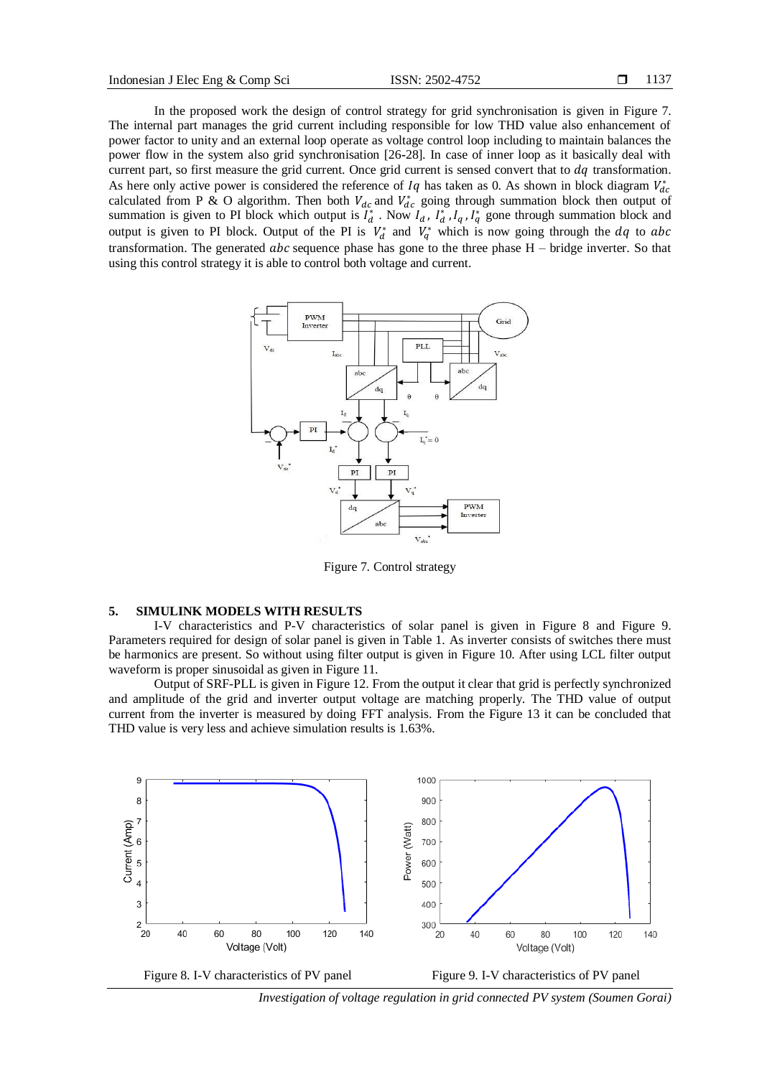In the proposed work the design of control strategy for grid synchronisation is given in Figure 7. The internal part manages the grid current including responsible for low THD value also enhancement of power factor to unity and an external loop operate as voltage control loop including to maintain balances the power flow in the system also grid synchronisation [26**-**28]. In case of inner loop as it basically deal with current part, so first measure the grid current. Once grid current is sensed convert that to  $dq$  transformation. As here only active power is considered the reference of  $Iq$  has taken as 0. As shown in block diagram  $V_d^*$ calculated from P & O algorithm. Then both  $V_{dc}$  and  $V_{dc}^*$  going through summation block then output of summation is given to PI block which output is  $I_d^*$ . Now  $I_d$ ,  $I_d^*$ ,  $I_d$ ,  $I_d^*$  gone through summation block and output is given to PI block. Output of the PI is  $V_d^*$  and  $V_a^*$  which is now going through the dq to transformation. The generated  $abc$  sequence phase has gone to the three phase  $H$  – bridge inverter. So that using this control strategy it is able to control both voltage and current.



Figure 7. Control strategy

# **5. SIMULINK MODELS WITH RESULTS**

I-V characteristics and P-V characteristics of solar panel is given in Figure 8 and Figure 9. Parameters required for design of solar panel is given in Table 1. As inverter consists of switches there must be harmonics are present. So without using filter output is given in Figure 10. After using LCL filter output waveform is proper sinusoidal as given in Figure 11.

Output of SRF-PLL is given in Figure 12. From the output it clear that grid is perfectly synchronized and amplitude of the grid and inverter output voltage are matching properly. The THD value of output current from the inverter is measured by doing FFT analysis. From the Figure 13 it can be concluded that THD value is very less and achieve simulation results is 1.63%.



*Investigation of voltage regulation in grid connected PV system (Soumen Gorai)*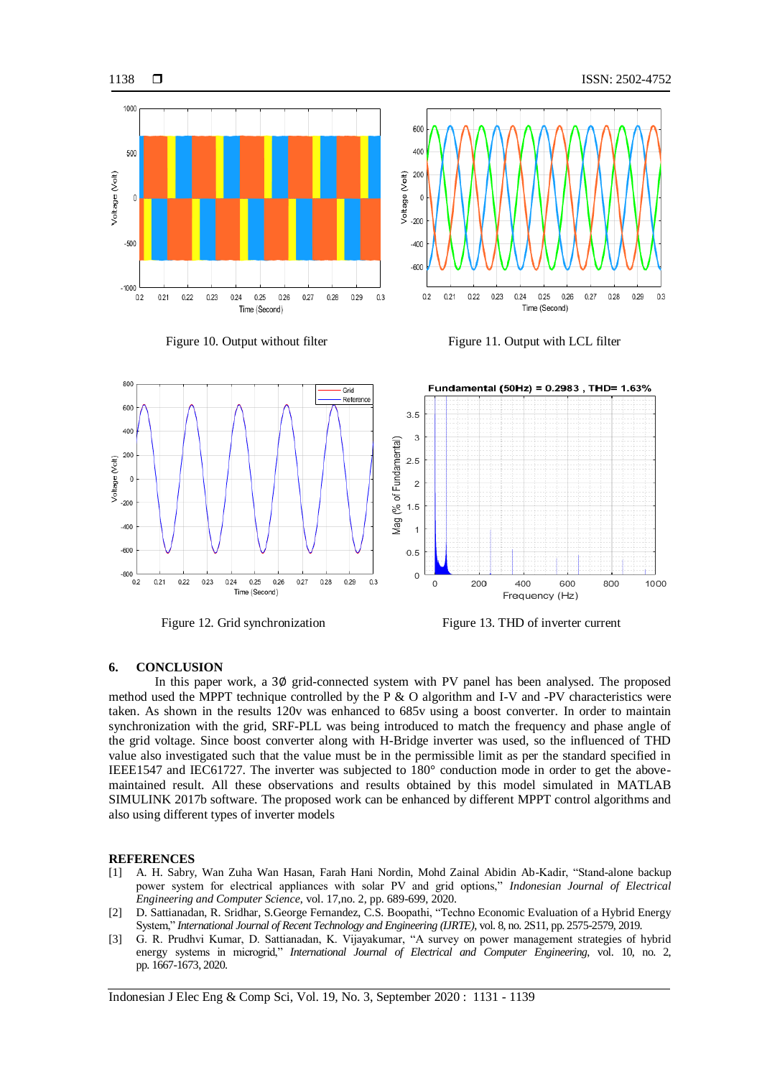$0.3$ 

 $0.28$ 0.29







Time (Second)

 $0.21$  $0.22$ 0.23  $0.24$  $0.25$  $0.26$ 0.27



Figure 12. Grid synchronization Figure 13. THD of inverter current

#### **6. CONCLUSION**

In this paper work, a 3 $\phi$  grid-connected system with PV panel has been analysed. The proposed method used the MPPT technique controlled by the P & O algorithm and I-V and -PV characteristics were taken. As shown in the results 120v was enhanced to 685v using a boost converter. In order to maintain synchronization with the grid, SRF-PLL was being introduced to match the frequency and phase angle of the grid voltage. Since boost converter along with H-Bridge inverter was used, so the influenced of THD value also investigated such that the value must be in the permissible limit as per the standard specified in IEEE1547 and IEC61727. The inverter was subjected to 180° conduction mode in order to get the abovemaintained result. All these observations and results obtained by this model simulated in MATLAB SIMULINK 2017b software. The proposed work can be enhanced by different MPPT control algorithms and also using different types of inverter models

#### **REFERENCES**

- [1] A. H. Sabry, Wan Zuha Wan Hasan, Farah Hani Nordin, Mohd Zainal Abidin Ab-Kadir, "Stand-alone backup power system for electrical appliances with solar PV and grid options," *Indonesian Journal of Electrical Engineering and Computer Science*, vol. 17,no. 2, pp. 689-699, 2020.
- [2] D. Sattianadan, R. Sridhar, S.George Fernandez, C.S. Boopathi, "Techno Economic Evaluation of a Hybrid Energy System," *International Journal of Recent Technology and Engineering (IJRTE)*, vol. 8, no. 2S11, pp. 2575-2579, 2019.
- [3] G. R. Prudhvi Kumar, D. Sattianadan, K. Vijayakumar, "A survey on power management strategies of hybrid energy systems in microgrid," *International Journal of Electrical and Computer Engineering*, vol. 10, no. 2, pp. 1667-1673, 2020.